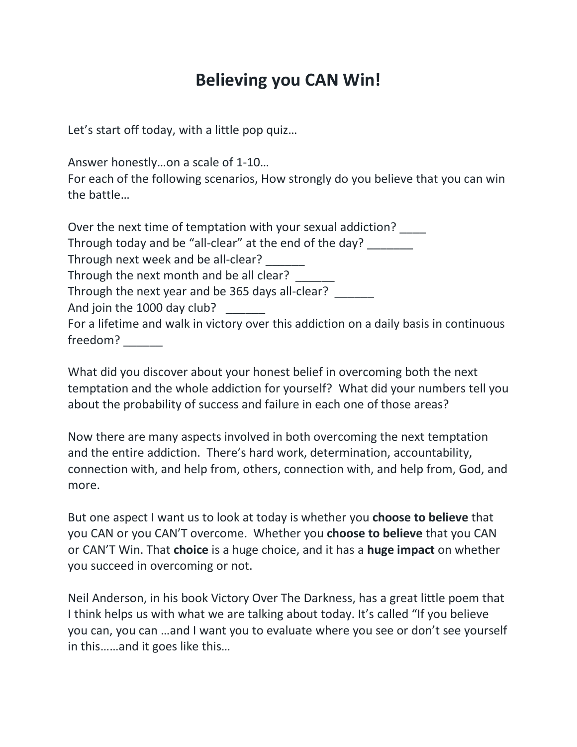## **Believing you CAN Win!**

Let's start off today, with a little pop quiz…

Answer honestly…on a scale of 1-10…

For each of the following scenarios, How strongly do you believe that you can win the battle…

| Over the next time of temptation with your sexual addiction?                          |  |
|---------------------------------------------------------------------------------------|--|
| Through today and be "all-clear" at the end of the day?                               |  |
| Through next week and be all-clear?                                                   |  |
| Through the next month and be all clear?                                              |  |
| Through the next year and be 365 days all-clear?                                      |  |
| And join the 1000 day club?                                                           |  |
| For a lifetime and walk in victory over this addiction on a daily basis in continuous |  |
| freedom?                                                                              |  |

What did you discover about your honest belief in overcoming both the next temptation and the whole addiction for yourself? What did your numbers tell you about the probability of success and failure in each one of those areas?

Now there are many aspects involved in both overcoming the next temptation and the entire addiction. There's hard work, determination, accountability, connection with, and help from, others, connection with, and help from, God, and more.

But one aspect I want us to look at today is whether you **choose to believe** that you CAN or you CAN'T overcome. Whether you **choose to believe** that you CAN or CAN'T Win. That **choice** is a huge choice, and it has a **huge impact** on whether you succeed in overcoming or not.

Neil Anderson, in his book Victory Over The Darkness, has a great little poem that I think helps us with what we are talking about today. It's called "If you believe you can, you can …and I want you to evaluate where you see or don't see yourself in this……and it goes like this…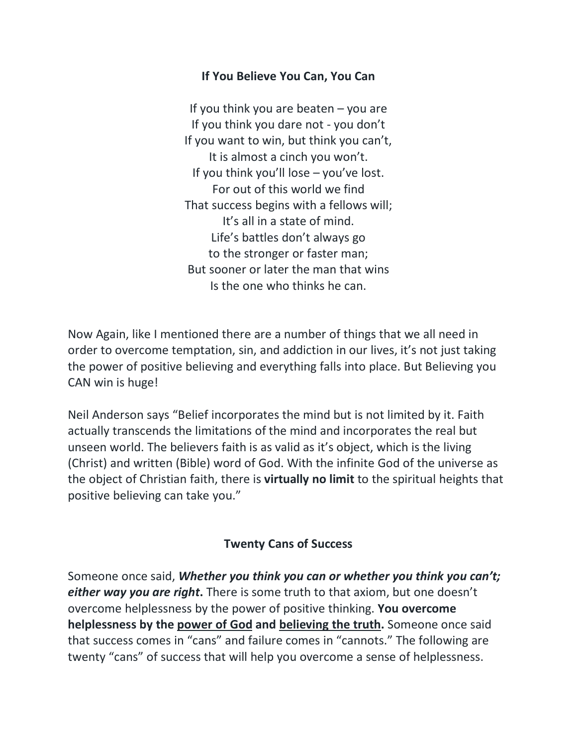## **If You Believe You Can, You Can**

If you think you are beaten  $-$  you are If you think you dare not - you don't If you want to win, but think you can't, It is almost a cinch you won't. If you think you'll lose – you've lost. For out of this world we find That success begins with a fellows will; It's all in a state of mind. Life's battles don't always go to the stronger or faster man; But sooner or later the man that wins Is the one who thinks he can.

Now Again, like I mentioned there are a number of things that we all need in order to overcome temptation, sin, and addiction in our lives, it's not just taking the power of positive believing and everything falls into place. But Believing you CAN win is huge!

Neil Anderson says "Belief incorporates the mind but is not limited by it. Faith actually transcends the limitations of the mind and incorporates the real but unseen world. The believers faith is as valid as it's object, which is the living (Christ) and written (Bible) word of God. With the infinite God of the universe as the object of Christian faith, there is **virtually no limit** to the spiritual heights that positive believing can take you."

## **Twenty Cans of Success**

Someone once said, *Whether you think you can or whether you think you can't; either way you are right***.** There is some truth to that axiom, but one doesn't overcome helplessness by the power of positive thinking. **You overcome helplessness by the power of God and believing the truth.** Someone once said that success comes in "cans" and failure comes in "cannots." The following are twenty "cans" of success that will help you overcome a sense of helplessness.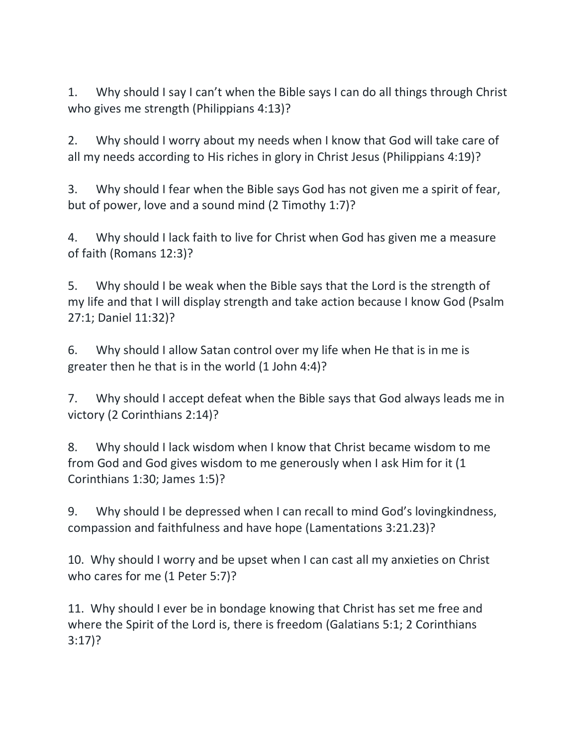1. Why should I say I can't when the Bible says I can do all things through Christ who gives me strength (Philippians 4:13)?

2. Why should I worry about my needs when I know that God will take care of all my needs according to His riches in glory in Christ Jesus (Philippians 4:19)?

3. Why should I fear when the Bible says God has not given me a spirit of fear, but of power, love and a sound mind (2 Timothy 1:7)?

4. Why should I lack faith to live for Christ when God has given me a measure of faith (Romans 12:3)?

5. Why should I be weak when the Bible says that the Lord is the strength of my life and that I will display strength and take action because I know God (Psalm 27:1; Daniel 11:32)?

6. Why should I allow Satan control over my life when He that is in me is greater then he that is in the world (1 John 4:4)?

7. Why should I accept defeat when the Bible says that God always leads me in victory (2 Corinthians 2:14)?

8. Why should I lack wisdom when I know that Christ became wisdom to me from God and God gives wisdom to me generously when I ask Him for it (1 Corinthians 1:30; James 1:5)?

9. Why should I be depressed when I can recall to mind God's lovingkindness, compassion and faithfulness and have hope (Lamentations 3:21.23)?

10. Why should I worry and be upset when I can cast all my anxieties on Christ who cares for me (1 Peter 5:7)?

11. Why should I ever be in bondage knowing that Christ has set me free and where the Spirit of the Lord is, there is freedom (Galatians 5:1; 2 Corinthians 3:17)?